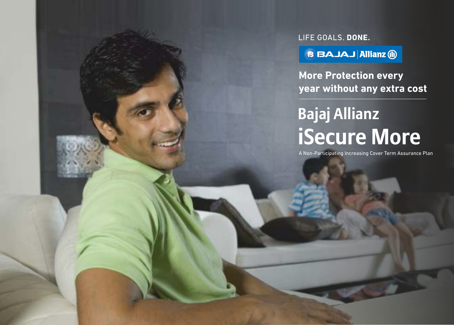LIFE GOALS. DONE.

**BBAJAJ Allianz @** 

**More Protection every year without any extra cost**

# **Bajaj Allianz iSecure More**

A Non-Participating Increasing Cover Term Assurance Plan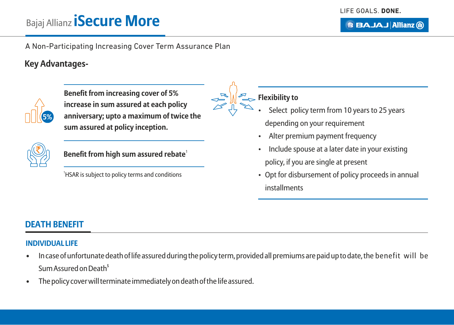**BBAJAJ Allianz (ii)** 

# Bajaj Allianz **iSecure More**

A Non-Participating Increasing Cover Term Assurance Plan

#### **Key Advantages-**



**Benefit from increasing cover of 5% increase in sum assured at each policy anniversary; upto a maximum of twice the sum assured at policy inception.**



1 **Benefit from high sum assured rebate**

<sup>1</sup>HSAR is subject to policy terms and conditions

#### **Flexibility to**

- Select policy term from 10 years to 25 years depending on your requirement
- Alter premium payment frequency
- Include spouse at a later date in your existing policy, if you are single at present
- Opt for disbursement of policy proceeds in annual installments

#### **DEATH BENEFIT**

#### **INDIVIDUAL LIFE**

- In case of unfortunate death of life assured during the policy term, provided all premiums are paid up to date, the benefit will be Sum Assured on Death<sup>s</sup>
- The policy cover will terminate immediately on death of the life assured.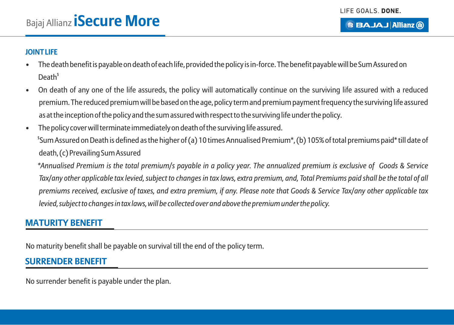#### **JOINT LIFE**

- The death benefit is payable on death of each life, provided the policy is in-force. The benefit payable will be Sum Assured on  $Death<sup>§</sup>$
- On death of any one of the life assureds, the policy will automatically continue on the surviving life assured with a reduced premium. The reduced premium will be based on the age, policy term and premium payment frequency the surviving life assured as at the inception of the policy and the sum assured with respect to the surviving life under the policy.
- The policy cover will terminate immediately on death of the surviving life assured. \$ Sum Assured on Death is defined as the higher of (a) 10 times Annualised Premium\*, (b) 105% of total premiums paid\* till date of death, (c) Prevailing Sum Assured

*\*Annualised Premium is the total premium/s payable in a policy year. The annualized premium is exclusive of Goods & Service Tax/any other applicable tax levied, subject to changes in tax laws, extra premium, and, Total Premiums paid shall be the total of all premiums received, exclusive of taxes, and extra premium, if any. Please note that Goods & Service Tax/any other applicable tax levied, subject to changes in tax laws, will be collected over and above the premium under the policy.*

#### **MATURITY BENEFIT**

No maturity benefit shall be payable on survival till the end of the policy term.

#### **SURRENDER BENEFIT**

No surrender benefit is payable under the plan.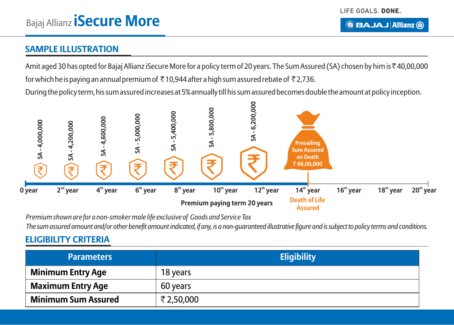#### **BBAJAJ Allianz (ii)**

#### **SAMPLE ILLUSTRATION**

Amit aged 30 has opted for Bajaj Allianz iSecure More for a policy term of 20 years. The Sum Assured (SA) chosen by him is ₹40,00,000 for which he is paying an annual premium of  $\bar{\tau}$  10,944 after a high sum assured rebate of  $\bar{\tau}$  2,736.

During the policy term, his sum assured increases at 5% annually till his sum assured becomes double the amount at policy inception.



*Premium shown are for a non-smoker male life exclusive of Goods and Service Tax The sum assured amount and/or other benefit amount indicated, if any, is a non-guaranteed illustrative figure and is subject to policy terms and conditions.* 

#### **ELIGIBILITY CRITERIA**

| <b>Parameters</b>          | <b>Eligibility</b> |
|----------------------------|--------------------|
| <b>Minimum Entry Age</b>   | 18 years           |
| <b>Maximum Entry Age</b>   | 60 years           |
| <b>Minimum Sum Assured</b> | ₹2,50,000          |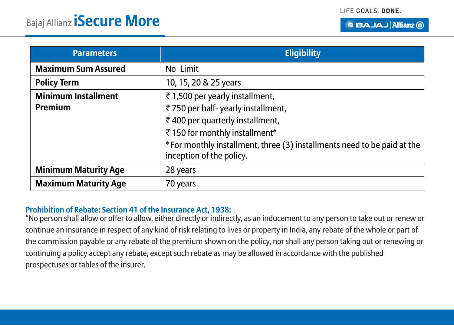|  | <b>BBAJAJ Allianz 10</b> |  |
|--|--------------------------|--|
|  |                          |  |

| <b>Parameters</b>                     | <b>Eligibility</b>                                                                                                                                                                                                                              |
|---------------------------------------|-------------------------------------------------------------------------------------------------------------------------------------------------------------------------------------------------------------------------------------------------|
| <b>Maximum Sum Assured</b>            | No Limit                                                                                                                                                                                                                                        |
| <b>Policy Term</b>                    | 10, 15, 20 & 25 years                                                                                                                                                                                                                           |
| <b>Minimum Installment</b><br>Premium | ₹1,500 per yearly installment,<br>₹750 per half-yearly installment,<br>₹400 per quarterly installment,<br>₹150 for monthly installment*<br>* For monthly installment, three (3) installments need to be paid at the<br>inception of the policy. |
| <b>Minimum Maturity Age</b>           | 28 years                                                                                                                                                                                                                                        |
| <b>Maximum Maturity Age</b>           | 70 years                                                                                                                                                                                                                                        |

#### **Prohibition of Rebate: Section 41 of the Insurance Act, 1938:**

"No person shall allow or offer to allow, either directly or indirectly, as an inducement to any person to take out or renew or continue an insurance in respect of any kind of risk relating to lives or property in India, any rebate of the whole or part of the commission payable or any rebate of the premium shown on the policy, nor shall any person taking out or renewing or continuing a policy accept any rebate, except such rebate as may be allowed in accordance with the published prospectuses or tables of the insurer.